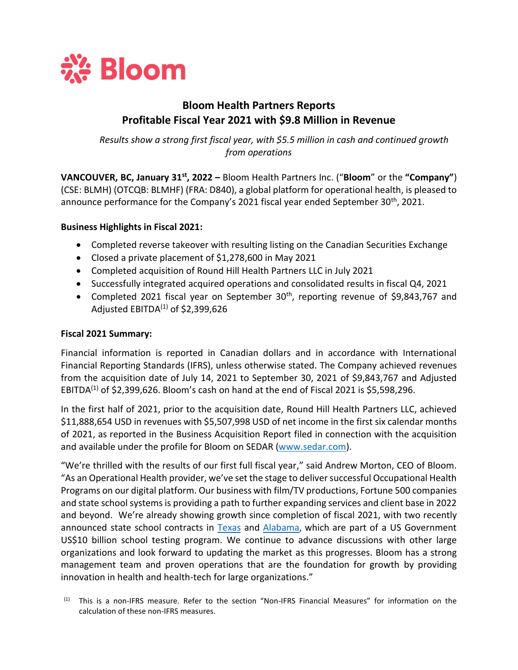

# **Bloom Health Partners Reports Profitable Fiscal Year 2021 with \$9.8 Million in Revenue**

*Results show a strong first fiscal year, with \$5.5 million in cash and continued growth from operations*

**VANCOUVER, BC, January 31st, 2022 –** Bloom Health Partners Inc. ("**Bloom**" or the **"Company"**) (CSE: BLMH) (OTCQB: BLMHF) (FRA: D840), a global platform for operational health, is pleased to announce performance for the Company's 2021 fiscal year ended September 30<sup>th</sup>, 2021.

## **Business Highlights in Fiscal 2021:**

- Completed reverse takeover with resulting listing on the Canadian Securities Exchange
- Closed a private placement of \$1,278,600 in May 2021
- Completed acquisition of Round Hill Health Partners LLC in July 2021
- Successfully integrated acquired operations and consolidated results in fiscal Q4, 2021
- Completed 2021 fiscal year on September 30<sup>th</sup>, reporting revenue of \$9,843,767 and Adjusted EBITDA $^{(1)}$  of \$2,399,626

# **Fiscal 2021 Summary:**

Financial information is reported in Canadian dollars and in accordance with International Financial Reporting Standards (IFRS), unless otherwise stated. The Company achieved revenues from the acquisition date of July 14, 2021 to September 30, 2021 of \$9,843,767 and Adjusted EBITDA $^{(1)}$  of \$2,399,626. Bloom's cash on hand at the end of Fiscal 2021 is \$5,598,296.

In the first half of 2021, prior to the acquisition date, Round Hill Health Partners LLC, achieved \$11,888,654 USD in revenues with \$5,507,998 USD of net income in the first six calendar months of 2021, as reported in the Business Acquisition Report filed in connection with the acquisition and available under the profile for Bloom on SEDAR [\(www.sedar.com\)](http://www.sedar.com/).

"We're thrilled with the results of our first full fiscal year," said Andrew Morton, CEO of Bloom. "As an Operational Health provider, we've set the stage to deliver successful Occupational Health Programs on our digital platform. Our business with film/TV productions, Fortune 500 companies and state school systemsis providing a path to further expanding services and client base in 2022 and beyond. We're already showing growth since completion of fiscal 2021, with two recently announced state school contracts in [Texas](https://www.bloomhealthpartners.com/wp-content/uploads/2022/01/BHP-A-Contract-With-State-of-Texas-For-K-12-18-Jan-22.pdf) and [Alabama](https://www.bloomhealthpartners.com/wp-content/uploads/2021/11/Bloom-Alabama-Schools-Testing-Final-Release-for-11-29-21.pdf), which are part of a US Government US\$10 billion school testing program. We continue to advance discussions with other large organizations and look forward to updating the market as this progresses. Bloom has a strong management team and proven operations that are the foundation for growth by providing innovation in health and health-tech for large organizations."

 $<sup>(1)</sup>$  This is a non-IFRS measure. Refer to the section "Non-IFRS Financial Measures" for information on the</sup> calculation of these non-IFRS measures.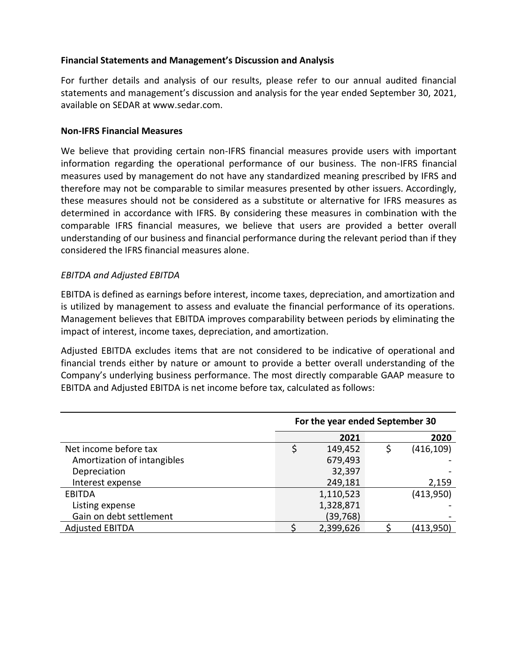# **Financial Statements and Management's Discussion and Analysis**

For further details and analysis of our results, please refer to our annual audited financial statements and management's discussion and analysis for the year ended September 30, 2021, available on SEDAR at www.sedar.com.

## **Non-IFRS Financial Measures**

We believe that providing certain non-IFRS financial measures provide users with important information regarding the operational performance of our business. The non-IFRS financial measures used by management do not have any standardized meaning prescribed by IFRS and therefore may not be comparable to similar measures presented by other issuers. Accordingly, these measures should not be considered as a substitute or alternative for IFRS measures as determined in accordance with IFRS. By considering these measures in combination with the comparable IFRS financial measures, we believe that users are provided a better overall understanding of our business and financial performance during the relevant period than if they considered the IFRS financial measures alone.

## *EBITDA and Adjusted EBITDA*

EBITDA is defined as earnings before interest, income taxes, depreciation, and amortization and is utilized by management to assess and evaluate the financial performance of its operations. Management believes that EBITDA improves comparability between periods by eliminating the impact of interest, income taxes, depreciation, and amortization.

Adjusted EBITDA excludes items that are not considered to be indicative of operational and financial trends either by nature or amount to provide a better overall understanding of the Company's underlying business performance. The most directly comparable GAAP measure to EBITDA and Adjusted EBITDA is net income before tax, calculated as follows:

|                             | For the year ended September 30 |           |   |            |
|-----------------------------|---------------------------------|-----------|---|------------|
|                             |                                 | 2021      |   | 2020       |
| Net income before tax       |                                 | 149,452   | Ś | (416, 109) |
| Amortization of intangibles |                                 | 679,493   |   |            |
| Depreciation                |                                 | 32,397    |   |            |
| Interest expense            |                                 | 249,181   |   | 2,159      |
| EBITDA                      |                                 | 1,110,523 |   | (413,950)  |
| Listing expense             |                                 | 1,328,871 |   |            |
| Gain on debt settlement     |                                 | (39,768)  |   |            |
| <b>Adjusted EBITDA</b>      |                                 | 2,399,626 |   | (413,950)  |